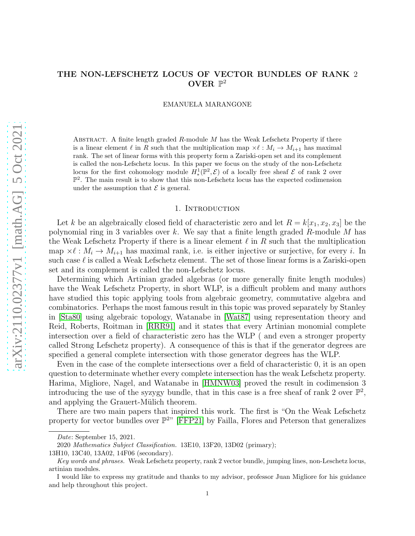# THE NON-LEFSCHETZ LOCUS OF VECTOR BUNDLES OF RANK 2 OVER  $\mathbb{P}^2$

EMANUELA MARANGONE

ABSTRACT. A finite length graded  $R$ -module  $M$  has the Weak Lefschetz Property if there is a linear element  $\ell$  in R such that the multiplication map  $\times \ell : M_i \to M_{i+1}$  has maximal rank. The set of linear forms with this property form a Zariski-open set and its complement is called the non-Lefschetz locus. In this paper we focus on the study of the non-Lefschetz locus for the first cohomology module  $H^1_*(\mathbb{P}^2, \mathcal{E})$  of a locally free sheaf  $\mathcal E$  of rank 2 over  $\mathbb{P}^2$ . The main result is to show that this non-Lefschetz locus has the expected codimension under the assumption that  $\mathcal E$  is general.

### 1. INTRODUCTION

Let k be an algebraically closed field of characteristic zero and let  $R = k[x_1, x_2, x_3]$  be the polynomial ring in 3 variables over k. We say that a finite length graded  $R$ -module M has the Weak Lefschetz Property if there is a linear element  $\ell$  in R such that the multiplication map  $\times \ell : M_i \to M_{i+1}$  has maximal rank, i.e. is either injective or surjective, for every i. In such case  $\ell$  is called a Weak Lefschetz element. The set of those linear forms is a Zariski-open set and its complement is called the non-Lefschetz locus.

Determining which Artinian graded algebras (or more generally finite length modules) have the Weak Lefschetz Property, in short WLP, is a difficult problem and many authors have studied this topic applying tools from algebraic geometry, commutative algebra and combinatorics. Perhaps the most famous result in this topic was proved separately by Stanley in [\[Sta80\]](#page-16-0) using algebraic topology, Watanabe in [\[Wat87\]](#page-16-1) using representation theory and Reid, Roberts, Roitman in [\[RRR91\]](#page-16-2) and it states that every Artinian monomial complete intersection over a field of characteristic zero has the WLP ( and even a stronger property called Strong Lefschetz property). A consequence of this is that if the generator degrees are specified a general complete intersection with those generator degrees has the WLP.

Even in the case of the complete intersections over a field of characteristic 0, it is an open question to determinate whether every complete intersection has the weak Lefschetz property. Harima, Migliore, Nagel, and Watanabe in [\[HMNW03\]](#page-16-3) proved the result in codimension 3 introducing the use of the syzygy bundle, that in this case is a free sheaf of rank 2 over  $\mathbb{P}^2$ , and applying the Grauert-Mülich theorem.

There are two main papers that inspired this work. The first is "On the Weak Lefschetz property for vector bundles over  $\mathbb{P}^{2n}$  [\[FFP21\]](#page-16-4) by Failla, Flores and Peterson that generalizes

Date: September 15, 2021.

<sup>2020</sup> Mathematics Subject Classification. 13E10, 13F20, 13D02 (primary);

<sup>13</sup>H10, 13C40, 13A02, 14F06 (secondary).

Key words and phrases. Weak Lefschetz property, rank 2 vector bundle, jumping lines, non-Leschetz locus, artinian modules.

I would like to express my gratitude and thanks to my advisor, professor Juan Migliore for his guidance and help throughout this project.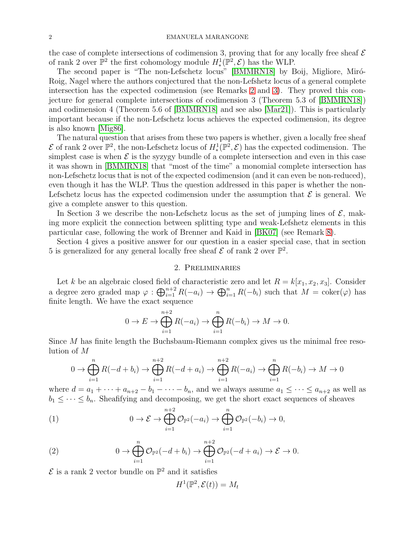### 2 EMANUELA MARANGONE

the case of complete intersections of codimension 3, proving that for any locally free sheaf  $\mathcal E$ of rank 2 over  $\mathbb{P}^2$  the first cohomology module  $H^1_*(\mathbb{P}^2, \mathcal{E})$  has the WLP.

The second paper is "The non-Lefschetz locus" [\[BMMRN18\]](#page-16-5) by Boij, Migliore, Miró-Roig, Nagel where the authors conjectured that the non-Lefshetz locus of a general complete intersection has the expected codimension (see Remarks [2](#page-2-0) and [3\)](#page-2-1). They proved this conjecture for general complete intersections of codimension 3 (Theorem 5.3 of [\[BMMRN18\]](#page-16-5)) and codimension 4 (Theorem 5.6 of [\[BMMRN18\]](#page-16-5) and see also [\[Mar21\]](#page-16-6)). This is particularly important because if the non-Lefschetz locus achieves the expected codimension, its degree is also known [\[Mig86\]](#page-16-7).

The natural question that arises from these two papers is whether, given a locally free sheaf  $\mathcal E$  of rank 2 over  $\mathbb P^2$ , the non-Lefschetz locus of  $H^1_*(\mathbb P^2,\mathcal E)$  has the expected codimension. The simplest case is when  $\mathcal E$  is the syzygy bundle of a complete intersection and even in this case it was shown in [\[BMMRN18\]](#page-16-5) that "most of the time" a monomial complete intersection has non-Lefschetz locus that is not of the expected codimension (and it can even be non-reduced), even though it has the WLP. Thus the question addressed in this paper is whether the non-Lefschetz locus has the expected codimension under the assumption that  $\mathcal E$  is general. We give a complete answer to this question.

In Section 3 we describe the non-Lefschetz locus as the set of jumping lines of  $\mathcal{E}$ , making more explicit the connection between splitting type and weak-Lefshetz elements in this particular case, following the work of Brenner and Kaid in [\[BK07\]](#page-16-8) (see Remark [8\)](#page-8-0).

Section 4 gives a positive answer for our question in a easier special case, that in section 5 is generalized for any general locally free sheaf  $\mathcal E$  of rank 2 over  $\mathbb P^2$ .

## 2. Preliminaries

Let k be an algebraic closed field of characteristic zero and let  $R = k[x_1, x_2, x_3]$ . Consider a degree zero graded map  $\varphi : \bigoplus_{i=1}^{n+2} R(-a_i) \to \bigoplus_{i=1}^{n} R(-b_i)$  such that  $M = \text{coker}(\varphi)$  has finite length. We have the exact sequence

$$
0 \to E \to \bigoplus_{i=1}^{n+2} R(-a_i) \to \bigoplus_{i=1}^n R(-b_i) \to M \to 0.
$$

Since M has finite length the Buchsbaum-Riemann complex gives us the minimal free resolution of M

$$
0 \to \bigoplus_{i=1}^{n} R(-d+b_i) \to \bigoplus_{i=1}^{n+2} R(-d+a_i) \to \bigoplus_{i=1}^{n+2} R(-a_i) \to \bigoplus_{i=1}^{n} R(-b_i) \to M \to 0
$$

where  $d = a_1 + \cdots + a_{n+2} - b_1 - \cdots - b_n$ , and we always assume  $a_1 \leq \cdots \leq a_{n+2}$  as well as  $b_1 \leq \cdots \leq b_n$ . Sheafifying and decomposing, we get the short exact sequences of sheaves

(1) 
$$
0 \to \mathcal{E} \to \bigoplus_{i=1}^{n+2} \mathcal{O}_{\mathbb{P}^2}(-a_i) \to \bigoplus_{i=1}^n \mathcal{O}_{\mathbb{P}^2}(-b_i) \to 0,
$$

<span id="page-1-1"></span>(2) 
$$
0 \to \bigoplus_{i=1}^n \mathcal{O}_{\mathbb{P}^2}(-d+b_i) \to \bigoplus_{i=1}^{n+2} \mathcal{O}_{\mathbb{P}^2}(-d+a_i) \to \mathcal{E} \to 0.
$$

 ${\mathcal E}$  is a rank 2 vector bundle on  ${\mathbb P}^2$  and it satisfies

<span id="page-1-0"></span>
$$
H^1(\mathbb{P}^2, \mathcal{E}(t)) = M_t
$$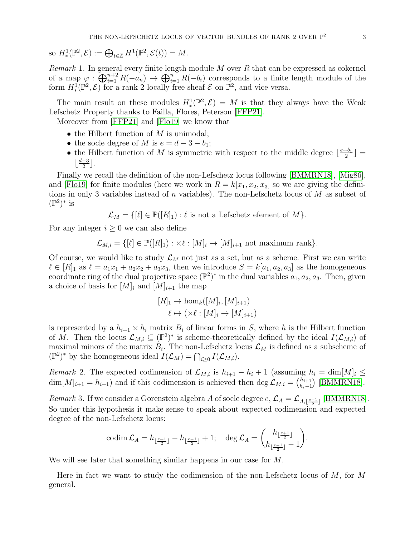so 
$$
H^1_*(\mathbb{P}^2, \mathcal{E}) := \bigoplus_{t \in \mathbb{Z}} H^1(\mathbb{P}^2, \mathcal{E}(t)) = M.
$$

*Remark* 1. In general every finite length module  $M$  over  $R$  that can be expressed as cokernel of a map  $\varphi : \bigoplus_{i=1}^{n+2} R(-a_n) \to \bigoplus_{i=1}^{n} R(-b_i)$  corresponds to a finite length module of the form  $H^1_*(\mathbb{P}^2, \mathcal{E})$  for a rank 2 locally free sheaf  $\mathcal E$  on  $\mathbb{P}^2$ , and vice versa.

The main result on these modules  $H^1_*(\mathbb{P}^2, \mathcal{E}) = M$  is that they always have the Weak Lefschetz Property thanks to Failla, Flores, Peterson [\[FFP21\]](#page-16-4).

Moreover from [\[FFP21\]](#page-16-4) and [\[Flo19\]](#page-16-9) we know that

- the Hilbert function of  $M$  is unimodal;
- the socle degree of M is  $e = d 3 b_1$ ;
- the Hilbert function of M is symmetric with respect to the middle degree  $\lfloor \frac{e+b_1}{2} \rfloor$  $\frac{+b_1}{2}$  =  $\lfloor \frac{d-3}{2} \rfloor$  $\frac{-3}{2}$ .

Finally we recall the definition of the non-Lefschetz locus following [\[BMMRN18\]](#page-16-5), [\[Mig86\]](#page-16-7), and [\[Flo19\]](#page-16-9) for finite modules (here we work in  $R = k[x_1, x_2, x_3]$  so we are giving the definitions in only 3 variables instead of n variables). The non-Lefschetz locus of  $M$  as subset of  $(\mathbb{P}^2)^*$  is

$$
\mathcal{L}_M = \{ [\ell] \in \mathbb{P}([R]_1) : \ell \text{ is not a Lefschetz element of } M \}.
$$

For any integer  $i \geq 0$  we can also define

$$
\mathcal{L}_{M,i} = \{ [\ell] \in \mathbb{P}([R]_1) : \times \ell : [M]_i \to [M]_{i+1} \text{ not maximum rank} \}.
$$

Of course, we would like to study  $\mathcal{L}_M$  not just as a set, but as a scheme. First we can write  $\ell \in [R]_1$  as  $\ell = a_1x_1 + a_2x_2 + a_3x_3$ , then we introduce  $S = k[a_1, a_2, a_3]$  as the homogeneous coordinate ring of the dual projective space  $(\mathbb{P}^2)^*$  in the dual variables  $a_1, a_2, a_3$ . Then, given a choice of basis for  $[M]_i$  and  $[M]_{i+1}$  the map

$$
[R]_1 \to \hom_k([M]_i, [M]_{i+1})
$$

$$
\ell \mapsto (\times \ell : [M]_i \to [M]_{i+1})
$$

is represented by a  $h_{i+1} \times h_i$  matrix  $B_i$  of linear forms in S, where h is the Hilbert function of M. Then the locus  $\mathcal{L}_{M,i} \subseteq (\mathbb{P}^2)^*$  is scheme-theoretically defined by the ideal  $I(\mathcal{L}_{M,i})$  of maximal minors of the matrix  $B_i$ . The non-Lefschetz locus  $\mathcal{L}_M$  is defined as a subscheme of  $(\mathbb{P}^2)^*$  by the homogeneous ideal  $I(\mathcal{L}_M) = \bigcap_{i \geq 0} I(\mathcal{L}_{M,i}).$ 

<span id="page-2-0"></span>Remark 2. The expected codimension of  $\mathcal{L}_{M,i}$  is  $h_{i+1} - h_i + 1$  (assuming  $h_i = \dim[M]_i \leq$  $\dim[M]_{i+1} = h_{i+1}$  and if this codimension is achieved then  $\deg \mathcal{L}_{M,i} = {h_{i+1} \choose h_{i-1}}$  $\binom{h_{i+1}}{h_i-1}$  [\[BMMRN18\]](#page-16-5).

<span id="page-2-1"></span>Remark 3. If we consider a Gorenstein algebra A of socle degree  $e, \mathcal{L}_A = \mathcal{L}_{A, \lfloor \frac{e-1}{2} \rfloor}$  [\[BMMRN18\]](#page-16-5). So under this hypothesis it make sense to speak about expected codimension and expected degree of the non-Lefschetz locus:

$$
\operatorname{codim} \mathcal{L}_A = h_{\lfloor \frac{e+1}{2} \rfloor} - h_{\lfloor \frac{e-1}{2} \rfloor} + 1; \quad \deg \mathcal{L}_A = \binom{h_{\lfloor \frac{e+1}{2} \rfloor}}{h_{\lfloor \frac{e-1}{2} \rfloor} - 1}.
$$

We will see later that something similar happens in our case for M.

Here in fact we want to study the codimension of the non-Lefschetz locus of  $M$ , for  $M$ general.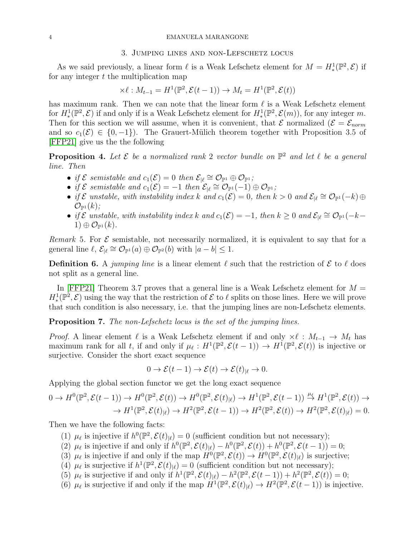#### 4 EMANUELA MARANGONE

### 3. Jumping lines and non-Lefschetz locus

As we said previously, a linear form  $\ell$  is a Weak Lefschetz element for  $M = H^1_*(\mathbb{P}^2, \mathcal{E})$  if for any integer  $t$  the multiplication map

$$
\times \ell : M_{t-1} = H^1(\mathbb{P}^2, \mathcal{E}(t-1)) \to M_t = H^1(\mathbb{P}^2, \mathcal{E}(t))
$$

has maximum rank. Then we can note that the linear form  $\ell$  is a Weak Lefschetz element for  $H^1_*(\mathbb{P}^2, \mathcal{E})$  if and only if is a Weak Lefschetz element for  $H^1_*(\mathbb{P}^2, \mathcal{E}(m))$ , for any integer m. Then for this section we will assume, when it is convenient, that  $\mathcal{E}$  normalized  $(\mathcal{E} = \mathcal{E}_{norm})$ and so  $c_1(\mathcal{E}) \in \{0, -1\}$ . The Grauert-Mülich theorem together with Proposition 3.5 of [\[FFP21\]](#page-16-4) give us the the following

**Proposition 4.** Let  $\mathcal{E}$  be a normalized rank 2 vector bundle on  $\mathbb{P}^2$  and let  $\ell$  be a general line. Then

- if  $\mathcal E$  semistable and  $c_1(\mathcal E)=0$  then  $\mathcal E_{|\ell} \cong \mathcal O_{\mathbb P^1} \oplus \mathcal O_{\mathbb P^1}$ ;
- if  $\mathcal E$  semistable and  $c_1(\mathcal{E}) = -1$  then  $\mathcal E_{|\ell} \cong \mathcal O_{\mathbb P^1}(-1) \oplus \mathcal O_{\mathbb P^1}$ ;
- if  $\mathcal E$  unstable, with instability index k and  $c_1(\mathcal E)=0$ , then  $k>0$  and  $\mathcal E_{|\ell} \cong \mathcal O_{\mathbb P^1}(-k) \oplus$  $\mathcal{O}_{\mathbb{P}^1}(k)$ ;
- if  $\mathcal{E}$  unstable, with instability index k and  $c_1(\mathcal{E}) = -1$ , then  $k \geq 0$  and  $\mathcal{E}_{|\ell} \cong \mathcal{O}_{\mathbb{P}^1}(-k-1)$  $1) \oplus \mathcal{O}_{\mathbb{P}^1}(k).$

Remark 5. For  $\mathcal E$  semistable, not necessarily normalized, it is equivalent to say that for a general line  $\ell, \mathcal{E}_{|\ell} \cong \mathcal{O}_{\mathbb{P}^1}(a) \oplus \mathcal{O}_{\mathbb{P}^2}(b)$  with  $|a - b| \leq 1$ .

**Definition 6.** A jumping line is a linear element  $\ell$  such that the restriction of  $\mathcal{E}$  to  $\ell$  does not split as a general line.

In [\[FFP21\]](#page-16-4) Theorem 3.7 proves that a general line is a Weak Lefschetz element for  $M =$  $H^1_*(\mathbb{P}^2, \mathcal{E})$  using the way that the restriction of  $\mathcal E$  to  $\ell$  splits on those lines. Here we will prove that such condition is also necessary, i.e. that the jumping lines are non-Lefschetz elements.

<span id="page-3-6"></span>Proposition 7. The non-Lefschetz locus is the set of the jumping lines.

*Proof.* A linear element  $\ell$  is a Weak Lefschetz element if and only  $\times \ell : M_{t-1} \to M_t$  has maximum rank for all t, if and only if  $\mu_{\ell}: H^1(\mathbb{P}^2, \mathcal{E}(t-1)) \to H^1(\mathbb{P}^2, \mathcal{E}(t))$  is injective or surjective. Consider the short exact sequence

$$
0 \to \mathcal{E}(t-1) \to \mathcal{E}(t) \to \mathcal{E}(t)_{|\ell} \to 0.
$$

Applying the global section functor we get the long exact sequence

$$
0 \to H^0(\mathbb{P}^2, \mathcal{E}(t-1)) \to H^0(\mathbb{P}^2, \mathcal{E}(t)) \to H^0(\mathbb{P}^2, \mathcal{E}(t)_{|\ell}) \to H^1(\mathbb{P}^2, \mathcal{E}(t-1)) \stackrel{\mu_{\ell}}{\to} H^1(\mathbb{P}^2, \mathcal{E}(t)) \to
$$
  

$$
\to H^1(\mathbb{P}^2, \mathcal{E}(t)_{|\ell}) \to H^2(\mathbb{P}^2, \mathcal{E}(t-1)) \to H^2(\mathbb{P}^2, \mathcal{E}(t)) \to H^2(\mathbb{P}^2, \mathcal{E}(t)_{|\ell}) = 0.
$$

<span id="page-3-4"></span><span id="page-3-0"></span>Then we have the following facts:

- (1)  $\mu_{\ell}$  is injective if  $h^0(\mathbb{P}^2, \mathcal{E}(t)_{|\ell}) = 0$  (sufficient condition but not necessary);
- <span id="page-3-2"></span>(2)  $\mu_{\ell}$  is injective if and only if  $h^0(\mathbb{P}^2, \mathcal{E}(t)_{|\ell}) - h^0(\mathbb{P}^2, \mathcal{E}(t)) + h^0(\mathbb{P}^2, \mathcal{E}(t-1)) = 0;$
- <span id="page-3-1"></span>(3)  $\mu_{\ell}$  is injective if and only if the map  $H^0(\mathbb{P}^2, \mathcal{E}(t)) \to H^0(\mathbb{P}^2, \mathcal{E}(t)_{|\ell})$  is surjective;
- <span id="page-3-5"></span>(4)  $\mu_{\ell}$  is surjective if  $h^{1}(\mathbb{P}^{2}, \mathcal{E}(t)_{|\ell}) = 0$  (sufficient condition but not necessary);
- <span id="page-3-3"></span>(5)  $\mu_{\ell}$  is surjective if and only if  $h^1(\mathbb{P}^2, \mathcal{E}(t)_{|\ell}) - h^2(\mathbb{P}^2, \mathcal{E}(t-1)) + h^2(\mathbb{P}^2, \mathcal{E}(t)) = 0;$
- (6)  $\mu_{\ell}$  is surjective if and only if the map  $H^1(\mathbb{P}^2, \mathcal{E}(t)_{|\ell}) \to H^2(\mathbb{P}^2, \mathcal{E}(t-1))$  is injective.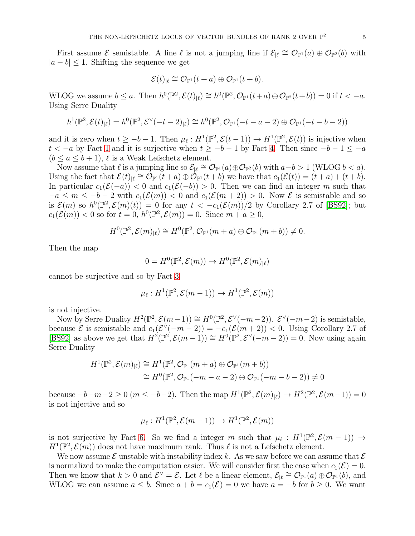First assume  $\mathcal E$  semistable. A line  $\ell$  is not a jumping line if  $\mathcal E_{\lvert \ell} \cong \mathcal O_{\mathbb P^1}(a) \oplus \mathcal O_{\mathbb P^2}(b)$  with  $|a - b| \leq 1$ . Shifting the sequence we get

$$
\mathcal{E}(t)_{|\ell} \cong \mathcal{O}_{\mathbb{P}^1}(t+a) \oplus \mathcal{O}_{\mathbb{P}^1}(t+b).
$$

WLOG we assume  $b \le a$ . Then  $h^0(\mathbb{P}^2, \mathcal{E}(t)|_\ell) \cong h^0(\mathbb{P}^2, \mathcal{O}_{\mathbb{P}^1}(t+a) \oplus \mathcal{O}_{\mathbb{P}^2}(t+b)) = 0$  if  $t < -a$ . Using Serre Duality

$$
h^1(\mathbb{P}^2, \mathcal{E}(t)_{|\ell}) = h^0(\mathbb{P}^2, \mathcal{E}^{\vee}(-t-2)_{|\ell}) \cong h^0(\mathbb{P}^2, \mathcal{O}_{\mathbb{P}^1}(-t-a-2) \oplus \mathcal{O}_{\mathbb{P}^1}(-t-b-2))
$$

and it is zero when  $t \ge -b-1$ . Then  $\mu_{\ell}: H^1(\mathbb{P}^2, \mathcal{E}(t-1)) \to H^1(\mathbb{P}^2, \mathcal{E}(t))$  is injective when  $t < -a$  by Fact [1](#page-3-0) and it is surjective when  $t \ge -b-1$  by Fact [4.](#page-3-1) Then since  $-b-1 \le -a$  $(b \le a \le b+1)$ ,  $\ell$  is a Weak Lefschetz element.

Now assume that  $\ell$  is a jumping line so  $\mathcal{E}_{|\ell} \cong \mathcal{O}_{\mathbb{P}^1}(a) \oplus \mathcal{O}_{\mathbb{P}^2}(b)$  with  $a - b > 1$  (WLOG  $b < a$ ). Using the fact that  $\mathcal{E}(t)_{|\ell} \cong \mathcal{O}_{\mathbb{P}^1}(t+a) \oplus \mathcal{O}_{\mathbb{P}^1}(t+b)$  we have that  $c_1(\mathcal{E}(t)) = (t+a) + (t+b)$ . In particular  $c_1(\mathcal{E}(-a)) < 0$  and  $c_1(\mathcal{E}(-b)) > 0$ . Then we can find an integer m such that  $-a \leq m \leq -b-2$  with  $c_1(\mathcal{E}(m)) < 0$  and  $c_1(\mathcal{E}(m+2)) > 0$ . Now  $\mathcal E$  is semistable and so is  $\mathcal{E}(m)$  so  $h^0(\mathbb{P}^2, \mathcal{E}(m)(t)) = 0$  for any  $t < -c_1(\mathcal{E}(m))/2$  by Corollary 2.7 of [\[BS92\]](#page-16-10); but  $c_1(\mathcal{E}(m)) < 0$  so for  $t = 0$ ,  $h^0(\mathbb{P}^2, \mathcal{E}(m)) = 0$ . Since  $m + a \geq 0$ ,

$$
H^{0}(\mathbb{P}^{2}, \mathcal{E}(m)_{\mid \ell}) \cong H^{0}(\mathbb{P}^{2}, \mathcal{O}_{\mathbb{P}^{1}}(m+a) \oplus \mathcal{O}_{\mathbb{P}^{1}}(m+b)) \neq 0.
$$

Then the map

$$
0 = H^0(\mathbb{P}^2, \mathcal{E}(m)) \to H^0(\mathbb{P}^2, \mathcal{E}(m)_{|\ell})
$$

cannot be surjective and so by Fact [3](#page-3-2)

$$
\mu_{\ell}: H^1(\mathbb{P}^2, \mathcal{E}(m-1)) \to H^1(\mathbb{P}^2, \mathcal{E}(m))
$$

is not injective.

Now by Serre Duality  $H^2(\mathbb{P}^2, \mathcal{E}(m-1)) \cong H^0(\mathbb{P}^2, \mathcal{E}^{\vee}(-m-2))$ .  $\mathcal{E}^{\vee}(-m-2)$  is semistable, because  $\mathcal E$  is semistable and  $c_1(\mathcal E^{\vee}(-m-2)) = -c_1(\mathcal E(m+2)) < 0$ . Using Corollary 2.7 of [\[BS92\]](#page-16-10) as above we get that  $H^2(\mathbb{P}^2, \mathcal{E}(m-1)) \cong H^0(\mathbb{P}^2, \mathcal{E}^{\vee}(-m-2)) = 0$ . Now using again Serre Duality

$$
H^{1}(\mathbb{P}^{2}, \mathcal{E}(m)_{|\ell}) \cong H^{1}(\mathbb{P}^{2}, \mathcal{O}_{\mathbb{P}^{1}}(m+a) \oplus \mathcal{O}_{\mathbb{P}^{1}}(m+b))
$$
  
\n
$$
\cong H^{0}(\mathbb{P}^{2}, \mathcal{O}_{\mathbb{P}^{1}}(-m-a-2) \oplus \mathcal{O}_{\mathbb{P}^{1}}(-m-b-2)) \neq 0
$$

because  $-b-m-2 \ge 0$   $(m \le -b-2)$ . Then the map  $H^1(\mathbb{P}^2, \mathcal{E}(m)|_{\ell}) \to H^2(\mathbb{P}^2, \mathcal{E}(m-1)) = 0$ is not injective and so

$$
\mu_{\ell}: H^1(\mathbb{P}^2, \mathcal{E}(m-1)) \to H^1(\mathbb{P}^2, \mathcal{E}(m))
$$

is not surjective by Fact [6.](#page-3-3) So we find a integer m such that  $\mu_{\ell}: H^1(\mathbb{P}^2, \mathcal{E}(m-1)) \to$  $H^1(\mathbb{P}^2, \mathcal{E}(m))$  does not have maximum rank. Thus  $\ell$  is not a Lefschetz element.

We now assume  $\mathcal E$  unstable with instability index k. As we saw before we can assume that  $\mathcal E$ is normalized to make the computation easier. We will consider first the case when  $c_1(\mathcal{E}) = 0$ . Then we know that  $k > 0$  and  $\mathcal{E}^{\vee} = \mathcal{E}$ . Let  $\ell$  be a linear element,  $\mathcal{E}_{|\ell} \cong \mathcal{O}_{\mathbb{P}^1}(a) \oplus \mathcal{O}_{\mathbb{P}^1}(b)$ , and WLOG we can assume  $a \leq b$ . Since  $a + b = c_1(\mathcal{E}) = 0$  we have  $a = -b$  for  $b \geq 0$ . We want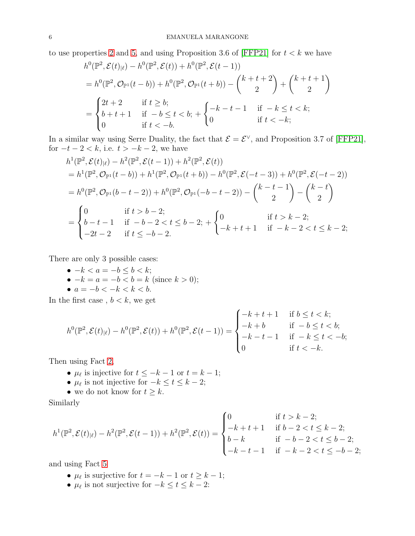to use properties [2](#page-3-4) and [5,](#page-3-5) and using Proposition 3.6 of [\[FFP21\]](#page-16-4) for  $t < k$  we have

$$
h^{0}(\mathbb{P}^{2}, \mathcal{E}(t)_{|\ell}) - h^{0}(\mathbb{P}^{2}, \mathcal{E}(t)) + h^{0}(\mathbb{P}^{2}, \mathcal{E}(t-1))
$$
  
=  $h^{0}(\mathbb{P}^{2}, \mathcal{O}_{\mathbb{P}^{1}}(t-b)) + h^{0}(\mathbb{P}^{2}, \mathcal{O}_{\mathbb{P}^{1}}(t+b)) - {k+t+2 \choose 2} + {k+t+1 \choose 2}$   
= 
$$
\begin{cases} 2t+2 & \text{if } t \geq b; \\ b+t+1 & \text{if } -b \leq t < b; \\ 0 & \text{if } t < -b. \end{cases} + \begin{cases} -k-t-1 & \text{if } -k \leq t < k; \\ 0 & \text{if } t < -k; \end{cases}
$$

In a similar way using Serre Duality, the fact that  $\mathcal{E} = \mathcal{E}^{\vee}$ , and Proposition 3.7 of [\[FFP21\]](#page-16-4), for  $-t-2 < k$ , i.e.  $t > -k-2$ , we have

$$
h^{1}(\mathbb{P}^{2}, \mathcal{E}(t)_{|\ell}) - h^{2}(\mathbb{P}^{2}, \mathcal{E}(t-1)) + h^{2}(\mathbb{P}^{2}, \mathcal{E}(t))
$$
  
\n
$$
= h^{1}(\mathbb{P}^{2}, \mathcal{O}_{\mathbb{P}^{1}}(t-b)) + h^{1}(\mathbb{P}^{2}, \mathcal{O}_{\mathbb{P}^{1}}(t+b)) - h^{0}(\mathbb{P}^{2}, \mathcal{E}(-t-3)) + h^{0}(\mathbb{P}^{2}, \mathcal{E}(-t-2))
$$
  
\n
$$
= h^{0}(\mathbb{P}^{2}, \mathcal{O}_{\mathbb{P}^{1}}(b-t-2)) + h^{0}(\mathbb{P}^{2}, \mathcal{O}_{\mathbb{P}^{1}}(-b-t-2)) - \binom{k-t-1}{2} - \binom{k-t}{2}
$$
  
\n
$$
= \begin{cases} 0 & \text{if } t > b-2; \\ b-t-1 & \text{if } -b-2 < t \leq b-2; \\ -2t-2 & \text{if } t \leq -b-2. \end{cases} \qquad \text{if } t > k-2; \quad \text{if } t > k-2; \\ -k+t+1 & \text{if } -k-2 < t \leq k-2; \end{cases}
$$

There are only 3 possible cases:

 $\bullet -k < a = -b < b < k;$ •  $-k = a = -b < b = k$  (since  $k > 0$ ); •  $a = -b < -k < k < b$ .

In the first case,  $b < k$ , we get

$$
h^{0}(\mathbb{P}^{2}, \mathcal{E}(t)_{|\ell}) - h^{0}(\mathbb{P}^{2}, \mathcal{E}(t)) + h^{0}(\mathbb{P}^{2}, \mathcal{E}(t-1)) = \begin{cases} -k + t + 1 & \text{if } b \leq t < k; \\ -k + b & \text{if } -b \leq t < b; \\ -k - t - 1 & \text{if } -k \leq t < -b; \\ 0 & \text{if } t < -k. \end{cases}
$$

Then using Fact [2,](#page-3-4)

- $\mu_{\ell}$  is injective for  $t \leq -k-1$  or  $t = k-1$ ;
- $\mu_{\ell}$  is not injective for  $-k \leq t \leq k-2$ ;
- we do not know for  $t \geq k$ .

Similarly

$$
h^{1}(\mathbb{P}^{2}, \mathcal{E}(t)|_{\ell}) - h^{2}(\mathbb{P}^{2}, \mathcal{E}(t-1)) + h^{2}(\mathbb{P}^{2}, \mathcal{E}(t)) = \begin{cases} 0 & \text{if } t > k - 2; \\ -k + t + 1 & \text{if } b - 2 < t \leq k - 2; \\ b - k & \text{if } -b - 2 < t \leq b - 2; \\ -k - t - 1 & \text{if } -k - 2 < t \leq -b - 2; \end{cases}
$$

and using Fact [5](#page-3-5)

- $\mu_{\ell}$  is surjective for  $t = -k 1$  or  $t \geq k 1$ ;
- $\mu_{\ell}$  is not surjective for  $-k \leq t \leq k-2$ :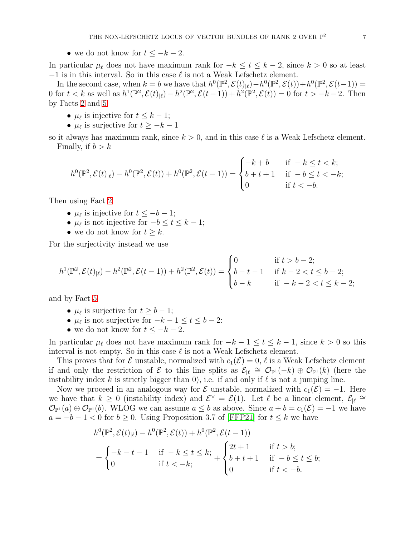• we do not know for  $t \leq -k-2$ .

In particular  $\mu_{\ell}$  does not have maximum rank for  $-k \leq t \leq k-2$ , since  $k > 0$  so at least  $-1$  is in this interval. So in this case  $\ell$  is not a Weak Lefschetz element.

In the second case, when  $k = b$  we have that  $h^0(\mathbb{P}^2, \mathcal{E}(t)_{|\ell}) - h^0(\mathbb{P}^2, \mathcal{E}(t)) + h^0(\mathbb{P}^2, \mathcal{E}(t-1)) =$ 0 for  $t < k$  as well as  $h^1(\mathbb{P}^2, \mathcal{E}(t)_{|\ell}) - h^2(\mathbb{P}^2, \mathcal{E}(t-1)) + h^2(\mathbb{P}^2, \mathcal{E}(t)) = 0$  for  $t > -k-2$ . Then by Facts [2](#page-3-4) and [5](#page-3-5)

- $\mu_{\ell}$  is injective for  $t \leq k 1$ ;
- $\mu_{\ell}$  is surjective for  $t \geq -k-1$

so it always has maximum rank, since  $k > 0$ , and in this case  $\ell$  is a Weak Lefschetz element. Finally, if  $b > k$ 

$$
h^{0}(\mathbb{P}^{2}, \mathcal{E}(t)_{|\ell}) - h^{0}(\mathbb{P}^{2}, \mathcal{E}(t)) + h^{0}(\mathbb{P}^{2}, \mathcal{E}(t-1)) = \begin{cases} -k + b & \text{if } -k \leq t < k; \\ b + t + 1 & \text{if } -b \leq t < -k; \\ 0 & \text{if } t < -b. \end{cases}
$$

Then using Fact [2](#page-3-4)

- $\mu_{\ell}$  is injective for  $t \leq -b-1$ ;
- $\mu_{\ell}$  is not injective for  $-b \leq t \leq k-1$ ;
- we do not know for  $t \geq k$ .

For the surjectivity instead we use

$$
h^{1}(\mathbb{P}^{2}, \mathcal{E}(t)|_{\ell}) - h^{2}(\mathbb{P}^{2}, \mathcal{E}(t-1)) + h^{2}(\mathbb{P}^{2}, \mathcal{E}(t)) = \begin{cases} 0 & \text{if } t > b - 2; \\ b - t - 1 & \text{if } k - 2 < t \leq b - 2; \\ b - k & \text{if } -k - 2 < t \leq k - 2; \end{cases}
$$

and by Fact [5](#page-3-5)

- $\mu_{\ell}$  is surjective for  $t \geq b-1$ ;
- $\mu_{\ell}$  is not surjective for  $-k-1 \leq t \leq b-2$ :
- we do not know for  $t \leq -k-2$ .

In particular  $\mu_{\ell}$  does not have maximum rank for  $-k-1 \leq t \leq k-1$ , since  $k > 0$  so this interval is not empty. So in this case  $\ell$  is not a Weak Lefschetz element.

This proves that for  $\mathcal E$  unstable, normalized with  $c_1(\mathcal E)=0$ ,  $\ell$  is a Weak Lefschetz element if and only the restriction of  $\mathcal E$  to this line splits as  $\mathcal E_{\lbrack \ell} \cong \mathcal O_{\mathbb P^1}(-k) \oplus \mathcal O_{\mathbb P^1}(k)$  (here the instability index k is strictly bigger than 0), i.e. if and only if  $\ell$  is not a jumping line.

Now we proceed in an analogous way for  $\mathcal E$  unstable, normalized with  $c_1(\mathcal E) = -1$ . Here we have that  $k \geq 0$  (instability index) and  $\mathcal{E}^{\vee} = \mathcal{E}(1)$ . Let  $\ell$  be a linear element,  $\mathcal{E}_{|\ell} \cong$  $\mathcal{O}_{\mathbb{P}^1}(a) \oplus \mathcal{O}_{\mathbb{P}^1}(b)$ . WLOG we can assume  $a \leq b$  as above. Since  $a + b = c_1(\mathcal{E}) = -1$  we have  $a = -b - 1 < 0$  for  $b \ge 0$ . Using Proposition 3.7 of [\[FFP21\]](#page-16-4) for  $t \le k$  we have

$$
h^{0}(\mathbb{P}^{2}, \mathcal{E}(t)|_{\ell}) - h^{0}(\mathbb{P}^{2}, \mathcal{E}(t)) + h^{0}(\mathbb{P}^{2}, \mathcal{E}(t-1))
$$
  
= 
$$
\begin{cases} -k - t - 1 & \text{if } -k \leq t \leq k; \\ 0 & \text{if } t < -k; \end{cases} + \begin{cases} 2t + 1 & \text{if } t > b; \\ b + t + 1 & \text{if } -b \leq t \leq b; \\ 0 & \text{if } t < -b. \end{cases}
$$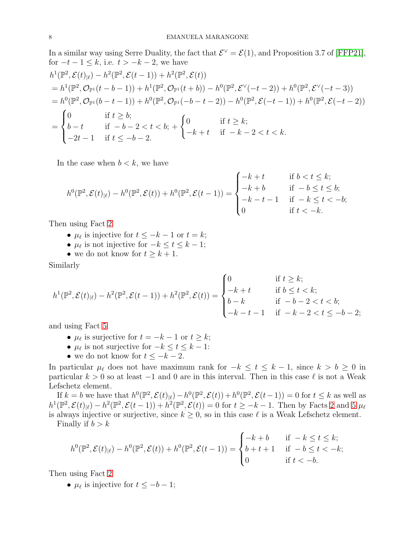In a similar way using Serre Duality, the fact that  $\mathcal{E}^{\vee} = \mathcal{E}(1)$ , and Proposition 3.7 of [\[FFP21\]](#page-16-4), for  $-t-1 \leq k$ , i.e.  $t > -k-2$ , we have

$$
h^{1}(\mathbb{P}^{2}, \mathcal{E}(t)_{|\ell}) - h^{2}(\mathbb{P}^{2}, \mathcal{E}(t-1)) + h^{2}(\mathbb{P}^{2}, \mathcal{E}(t))
$$
  
\n=  $h^{1}(\mathbb{P}^{2}, \mathcal{O}_{\mathbb{P}^{1}}(t-b-1)) + h^{1}(\mathbb{P}^{2}, \mathcal{O}_{\mathbb{P}^{1}}(t+b)) - h^{0}(\mathbb{P}^{2}, \mathcal{E}^{\vee}(-t-2)) + h^{0}(\mathbb{P}^{2}, \mathcal{E}^{\vee}(-t-3))$   
\n=  $h^{0}(\mathbb{P}^{2}, \mathcal{O}_{\mathbb{P}^{1}}(b-t-1)) + h^{0}(\mathbb{P}^{2}, \mathcal{O}_{\mathbb{P}^{1}}(-b-t-2)) - h^{0}(\mathbb{P}^{2}, \mathcal{E}(-t-1)) + h^{0}(\mathbb{P}^{2}, \mathcal{E}(-t-2))$   
\n= 
$$
\begin{cases} 0 & \text{if } t \geq b; \\ b-t & \text{if } -b-2 < t < b; \\ -2t-1 & \text{if } t \leq -b-2. \end{cases}
$$
  
\n= 
$$
\begin{cases} 0 & \text{if } t \geq k; \\ -2t-1 & \text{if } t \leq -b-2. \end{cases}
$$

In the case when  $b < k$ , we have

$$
h^{0}(\mathbb{P}^{2}, \mathcal{E}(t)_{|\ell}) - h^{0}(\mathbb{P}^{2}, \mathcal{E}(t)) + h^{0}(\mathbb{P}^{2}, \mathcal{E}(t-1)) = \begin{cases} -k+t & \text{if } b < t \leq k; \\ -k+b & \text{if } -b \leq t \leq b; \\ -k-t-1 & \text{if } -k \leq t < -b; \\ 0 & \text{if } t < -k. \end{cases}
$$

Then using Fact [2](#page-3-4)

- $\mu_{\ell}$  is injective for  $t \leq -k-1$  or  $t = k$ ;
- $\mu_{\ell}$  is not injective for  $-k \leq t \leq k-1$ ;
- we do not know for  $t \geq k+1$ .

Similarly

$$
h^{1}(\mathbb{P}^{2}, \mathcal{E}(t)_{|\ell}) - h^{2}(\mathbb{P}^{2}, \mathcal{E}(t-1)) + h^{2}(\mathbb{P}^{2}, \mathcal{E}(t)) = \begin{cases} 0 & \text{if } t \geq k; \\ -k + t & \text{if } b \leq t < k; \\ b - k & \text{if } -b - 2 < t < b; \\ -k - t - 1 & \text{if } -k - 2 < t \leq -b - 2; \end{cases}
$$

and using Fact [5](#page-3-5)

- $\mu_{\ell}$  is surjective for  $t = -k 1$  or  $t \geq k$ ;
- $\mu_{\ell}$  is not surjective for  $-k \leq t \leq k-1$ :
- we do not know for  $t \leq -k-2$ .

In particular  $\mu_{\ell}$  does not have maximum rank for  $-k \leq t \leq k-1$ , since  $k > b \geq 0$  in particular  $k > 0$  so at least  $-1$  and 0 are in this interval. Then in this case  $\ell$  is not a Weak Lefschetz element.

If  $k = b$  we have that  $h^0(\mathbb{P}^2, \mathcal{E}(t)|_\ell) - h^0(\mathbb{P}^2, \mathcal{E}(t)) + h^0(\mathbb{P}^2, \mathcal{E}(t-1)) = 0$  for  $t \leq k$  as well as  $h^1(\mathbb{P}^2, \mathcal{E}(t)_{|\ell}) - h^2(\mathbb{P}^2, \mathcal{E}(t-1)) + h^2(\mathbb{P}^2, \mathcal{E}(t)) = 0$  for  $t \geq -k-1$ . Then by Facts [2](#page-3-4) and [5](#page-3-5)  $\mu_{\ell}$ is always injective or surjective, since  $k \geq 0$ , so in this case  $\ell$  is a Weak Lefschetz element. Finally if  $b > k$ 

$$
h^{0}(\mathbb{P}^{2}, \mathcal{E}(t)|_{\ell}) - h^{0}(\mathbb{P}^{2}, \mathcal{E}(t)) + h^{0}(\mathbb{P}^{2}, \mathcal{E}(t-1)) = \begin{cases} -k + b & \text{if } -k \leq t \leq k; \\ b + t + 1 & \text{if } -b \leq t < -k; \\ 0 & \text{if } t < -b. \end{cases}
$$

Then using Fact [2](#page-3-4)

•  $\mu_{\ell}$  is injective for  $t \leq -b-1$ ;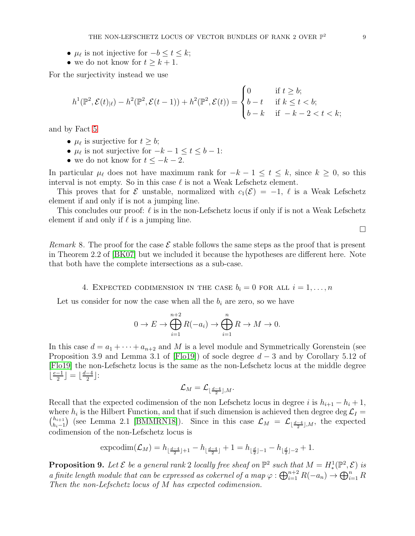- $\mu_{\ell}$  is not injective for  $-b \leq t \leq k$ ;
- we do not know for  $t \geq k+1$ .

For the surjectivity instead we use

$$
h^{1}(\mathbb{P}^{2}, \mathcal{E}(t)_{|\ell}) - h^{2}(\mathbb{P}^{2}, \mathcal{E}(t-1)) + h^{2}(\mathbb{P}^{2}, \mathcal{E}(t)) = \begin{cases} 0 & \text{if } t \geq b; \\ b - t & \text{if } k \leq t < b; \\ b - k & \text{if } -k - 2 < t < k; \end{cases}
$$

and by Fact [5](#page-3-5)

- $\mu_{\ell}$  is surjective for  $t \geq b$ ;
- $\mu_{\ell}$  is not surjective for  $-k-1 \leq t \leq b-1$ :
- we do not know for  $t \leq -k-2$ .

In particular  $\mu_{\ell}$  does not have maximum rank for  $-k-1 \leq t \leq k$ , since  $k \geq 0$ , so this interval is not empty. So in this case  $\ell$  is not a Weak Lefschetz element.

This proves that for E unstable, normalized with  $c_1(\mathcal{E}) = -1$ ,  $\ell$  is a Weak Lefschetz element if and only if is not a jumping line.

This concludes our proof:  $\ell$  is in the non-Lefschetz locus if only if is not a Weak Lefschetz element if and only if  $\ell$  is a jumping line.

 $\Box$ 

<span id="page-8-0"></span>Remark 8. The proof for the case  $\mathcal E$  stable follows the same steps as the proof that is present in Theorem 2.2 of [\[BK07\]](#page-16-8) but we included it because the hypotheses are different here. Note that both have the complete intersections as a sub-case.

## 4. EXPECTED CODIMENSION IN THE CASE  $b_i = 0$  for all  $i = 1, ..., n$

Let us consider for now the case when all the  $b_i$  are zero, so we have

$$
0 \to E \to \bigoplus_{i=1}^{n+2} R(-a_i) \to \bigoplus_{i=1}^n R \to M \to 0.
$$

In this case  $d = a_1 + \cdots + a_{n+2}$  and M is a level module and Symmetrically Gorenstein (see Proposition 3.9 and Lemma 3.1 of [\[Flo19\]](#page-16-9)) of socle degree  $d-3$  and by Corollary 5.12 of [\[Flo19\]](#page-16-9) the non-Lefschetz locus is the same as the non-Lefschetz locus at the middle degree  $\lfloor \frac{e-1}{2} \rfloor$  $\frac{-1}{2}$ ] =  $\lfloor \frac{d-4}{2}$  $\frac{-4}{2}$ :

$$
\mathcal{L}_M = \mathcal{L}_{\lfloor\frac{d-4}{2}\rfloor, M}.
$$

Recall that the expected codimension of the non Lefschetz locus in degree i is  $h_{i+1} - h_i + 1$ , where  $h_i$  is the Hilbert Function, and that if such dimension is achieved then degree  $\deg \mathcal{L}_I$  $\binom{h_{i+1}}{h_{i+1}}$  $\binom{h_{i+1}}{h_i-1}$  (see Lemma 2.1 [\[BMMRN18\]](#page-16-5)). Since in this case  $\mathcal{L}_M = \mathcal{L}_{\lfloor \frac{d-4}{2} \rfloor,M}$ , the expected codimension of the non-Lefschetz locus is

$$
\exp\left(\mathcal{L}_M\right) = h_{\lfloor \frac{d-4}{2} \rfloor+1} - h_{\lfloor \frac{d-4}{2} \rfloor} + 1 = h_{\lfloor \frac{d}{2} \rfloor-1} - h_{\lfloor \frac{d}{2} \rfloor-2} + 1.
$$

<span id="page-8-1"></span>**Proposition 9.** Let  $\mathcal{E}$  be a general rank 2 locally free sheaf on  $\mathbb{P}^2$  such that  $M = H^1_*(\mathbb{P}^2, \mathcal{E})$  is a finite length module that can be expressed as cokernel of a map  $\varphi : \bigoplus_{i=1}^{n+2} R(-a_n) \to \bigoplus_{i=1}^n R$ Then the non-Lefschetz locus of M has expected codimension.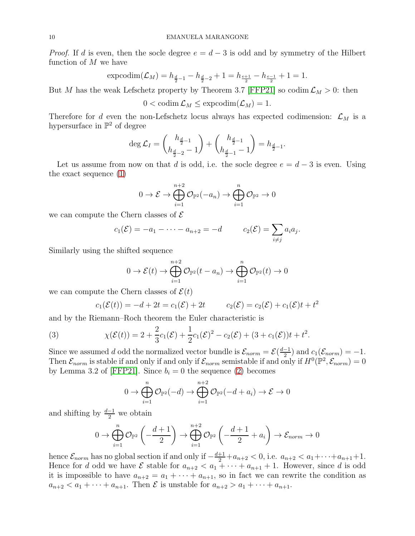*Proof.* If d is even, then the socle degree  $e = d - 3$  is odd and by symmetry of the Hilbert function of  $M$  we have

$$
\exp\left(\mathcal{L}_M\right) = h_{\frac{d}{2}-1} - h_{\frac{d}{2}-2} + 1 = h_{\frac{e+1}{2}} - h_{\frac{e-1}{2}} + 1 = 1.
$$

But M has the weak Lefschetz property by Theorem 3.7 [\[FFP21\]](#page-16-4) so codim  $\mathcal{L}_M > 0$ : then

$$
0 < \mathrm{codim} \, \mathcal{L}_M \leq \mathrm{expcodim}(\mathcal{L}_M) = 1.
$$

Therefore for d even the non-Lefschetz locus always has expected codimension:  $\mathcal{L}_M$  is a hypersurface in  $\mathbb{P}^2$  of degree

$$
\deg \mathcal{L}_I = \binom{h_{\frac{d}{2}-1}}{h_{\frac{d}{2}-2}-1} + \binom{h_{\frac{d}{2}-1}}{h_{\frac{d}{2}-1}-1} = h_{\frac{d}{2}-1}.
$$

Let us assume from now on that d is odd, i.e. the socle degree  $e = d - 3$  is even. Using the exact sequence [\(1\)](#page-1-0)

$$
0 \to \mathcal{E} \to \bigoplus_{i=1}^{n+2} \mathcal{O}_{\mathbb{P}^2}(-a_n) \to \bigoplus_{i=1}^n \mathcal{O}_{\mathbb{P}^2} \to 0
$$

we can compute the Chern classes of  $\mathcal E$ 

$$
c_1(\mathcal{E}) = -a_1 - \cdots - a_{n+2} = -d
$$
  $c_2(\mathcal{E}) = \sum_{i \neq j} a_i a_j.$ 

Similarly using the shifted sequence

$$
0 \to \mathcal{E}(t) \to \bigoplus_{i=1}^{n+2} \mathcal{O}_{\mathbb{P}^2}(t - a_n) \to \bigoplus_{i=1}^n \mathcal{O}_{\mathbb{P}^2}(t) \to 0
$$

we can compute the Chern classes of  $\mathcal{E}(t)$ 

<span id="page-9-0"></span>
$$
c_1(\mathcal{E}(t)) = -d + 2t = c_1(\mathcal{E}) + 2t
$$
  $c_2(\mathcal{E}) = c_2(\mathcal{E}) + c_1(\mathcal{E})t + t^2$ 

and by the Riemann–Roch theorem the Euler characteristic is

(3) 
$$
\chi(\mathcal{E}(t)) = 2 + \frac{2}{3}c_1(\mathcal{E}) + \frac{1}{2}c_1(\mathcal{E})^2 - c_2(\mathcal{E}) + (3 + c_1(\mathcal{E}))t + t^2.
$$

Since we assumed d odd the normalized vector bundle is  $\mathcal{E}_{norm} = \mathcal{E}(\frac{d-1}{2})$  $\frac{(-1)}{2}$  and  $c_1(\mathcal{E}_{norm}) = -1$ . Then  $\mathcal{E}_{norm}$  is stable if and only if and only if  $\mathcal{E}_{norm}$  semistable if and only if  $H^0(\mathbb{P}^2, \mathcal{E}_{norm}) = 0$ by Lemma 3.2 of [\[FFP21\]](#page-16-4). Since  $b_i = 0$  the sequence [\(2\)](#page-1-1) becomes

$$
0 \to \bigoplus_{i=1}^n \mathcal{O}_{\mathbb{P}^2}(-d) \to \bigoplus_{i=1}^{n+2} \mathcal{O}_{\mathbb{P}^2}(-d+a_i) \to \mathcal{E} \to 0
$$

and shifting by  $\frac{d-1}{2}$  we obtain

$$
0 \to \bigoplus_{i=1}^n \mathcal{O}_{\mathbb{P}^2} \left( -\frac{d+1}{2} \right) \to \bigoplus_{i=1}^{n+2} \mathcal{O}_{\mathbb{P}^2} \left( -\frac{d+1}{2} + a_i \right) \to \mathcal{E}_{norm} \to 0
$$

hence  $\mathcal{E}_{norm}$  has no global section if and only if  $-\frac{d+1}{2}+a_{n+2}<0$ , i.e.  $a_{n+2} < a_1+\cdots+a_{n+1}+1$ . Hence for d odd we have  $\mathcal E$  stable for  $a_{n+2} < a_1 + \cdots + a_{n+1} + 1$ . However, since d is odd it is impossible to have  $a_{n+2} = a_1 + \cdots + a_{n+1}$ , so in fact we can rewrite the condition as  $a_{n+2} < a_1 + \cdots + a_{n+1}$ . Then  $\mathcal E$  is unstable for  $a_{n+2} > a_1 + \cdots + a_{n+1}$ .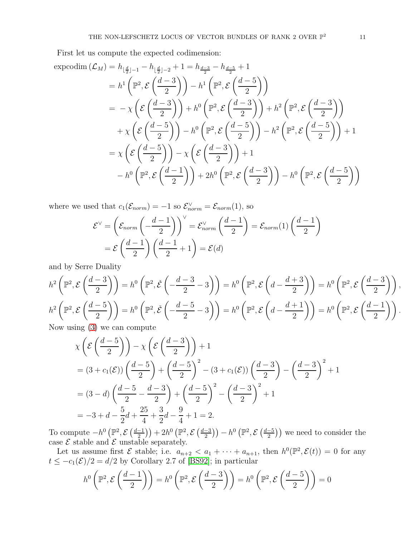First let us compute the expected codimension:

$$
\begin{split} \text{exproddim}\left(\mathcal{L}_{M}\right) &= h_{\lfloor\frac{d}{2}\rfloor-1} - h_{\lfloor\frac{d}{2}\rfloor-2} + 1 = h_{\frac{d-3}{2}} - h_{\frac{d-5}{2}} + 1 \\ &= h^{1}\left(\mathbb{P}^{2}, \mathcal{E}\left(\frac{d-3}{2}\right)\right) - h^{1}\left(\mathbb{P}^{2}, \mathcal{E}\left(\frac{d-5}{2}\right)\right) \\ &= -\chi\left(\mathcal{E}\left(\frac{d-5}{2}\right)\right) + h^{0}\left(\mathbb{P}^{2}, \mathcal{E}\left(\frac{d-5}{2}\right)\right) + h^{2}\left(\mathbb{P}^{2}, \mathcal{E}\left(\frac{d-5}{2}\right)\right) \\ &+ \chi\left(\mathcal{E}\left(\frac{d-5}{2}\right)\right) - h^{0}\left(\mathbb{P}^{2}, \mathcal{E}\left(\frac{d-5}{2}\right)\right) - h^{2}\left(\mathbb{P}^{2}, \mathcal{E}\left(\frac{d-5}{2}\right)\right) + 1 \\ &= \chi\left(\mathcal{E}\left(\frac{d-5}{2}\right)\right) - \chi\left(\mathcal{E}\left(\frac{d-3}{2}\right)\right) + 1 \\ &- h^{0}\left(\mathbb{P}^{2}, \mathcal{E}\left(\frac{d-1}{2}\right)\right) + 2h^{0}\left(\mathbb{P}^{2}, \mathcal{E}\left(\frac{d-3}{2}\right)\right) - h^{0}\left(\mathbb{P}^{2}, \mathcal{E}\left(\frac{d-5}{2}\right)\right) \end{split}
$$

where we used that  $c_1(\mathcal{E}_{norm}) = -1$  so  $\mathcal{E}_{norm}^{\vee} = \mathcal{E}_{norm}(1)$ , so

$$
\mathcal{E}^{\vee} = \left(\mathcal{E}_{norm}\left(-\frac{d-1}{2}\right)\right)^{\vee} = \mathcal{E}_{norm}^{\vee}\left(\frac{d-1}{2}\right) = \mathcal{E}_{norm}(1)\left(\frac{d-1}{2}\right)
$$

$$
= \mathcal{E}\left(\frac{d-1}{2}\right)\left(\frac{d-1}{2} + 1\right) = \mathcal{E}(d)
$$

and by Serre Duality

$$
h^{2}\left(\mathbb{P}^{2}, \mathcal{E}\left(\frac{d-3}{2}\right)\right) = h^{0}\left(\mathbb{P}^{2}, \check{\mathcal{E}}\left(-\frac{d-3}{2}-3\right)\right) = h^{0}\left(\mathbb{P}^{2}, \mathcal{E}\left(d-\frac{d+3}{2}\right)\right) = h^{0}\left(\mathbb{P}^{2}, \mathcal{E}\left(\frac{d-3}{2}\right)\right),
$$
  
\n
$$
h^{2}\left(\mathbb{P}^{2}, \mathcal{E}\left(\frac{d-5}{2}\right)\right) = h^{0}\left(\mathbb{P}^{2}, \check{\mathcal{E}}\left(-\frac{d-5}{2}-3\right)\right) = h^{0}\left(\mathbb{P}^{2}, \mathcal{E}\left(d-\frac{d+1}{2}\right)\right) = h^{0}\left(\mathbb{P}^{2}, \mathcal{E}\left(\frac{d-1}{2}\right)\right).
$$
  
\nNow, using (3) we can compute

Now using [\(3\)](#page-9-0) we can compute

$$
\chi\left(\mathcal{E}\left(\frac{d-5}{2}\right)\right) - \chi\left(\mathcal{E}\left(\frac{d-3}{2}\right)\right) + 1
$$
  
=  $(3 + c_1(\mathcal{E}))\left(\frac{d-5}{2}\right) + \left(\frac{d-5}{2}\right)^2 - (3 + c_1(\mathcal{E}))\left(\frac{d-3}{2}\right) - \left(\frac{d-3}{2}\right)^2 + 1$   
=  $(3 - d)\left(\frac{d-5}{2} - \frac{d-3}{2}\right) + \left(\frac{d-5}{2}\right)^2 - \left(\frac{d-3}{2}\right)^2 + 1$   
=  $-3 + d - \frac{5}{2}d + \frac{25}{4} + \frac{3}{2}d - \frac{9}{4} + 1 = 2.$ 

To compute  $-h^0\left(\mathbb{P}^2,\mathcal{E}\left(\frac{d-1}{2}\right)\right)$  $\left(\frac{-1}{2}\right)+2h^0\left(\mathbb{P}^2,\mathcal{E}\left(\frac{d-3}{2}\right)\right)$  $\left(\frac{1}{2}-3\right)\right) - h^0\left(\mathbb{P}^2,\mathcal{E}\left(\frac{d-5}{2}\right)\right)$  $\left(\frac{-5}{2}\right)$ ) we need to consider the case  $\mathcal E$  stable and  $\mathcal E$  unstable separately.

Let us assume first  $\mathcal E$  stable; i.e.  $a_{n+2} < a_1 + \cdots + a_{n+1}$ , then  $h^0(\mathbb P^2, \mathcal E(t)) = 0$  for any  $t \leq -c_1(\mathcal{E})/2 = d/2$  by Corollary 2.7 of [\[BS92\]](#page-16-10); in particular

$$
h^{0}\left(\mathbb{P}^{2}, \mathcal{E}\left(\frac{d-1}{2}\right)\right) = h^{0}\left(\mathbb{P}^{2}, \mathcal{E}\left(\frac{d-3}{2}\right)\right) = h^{0}\left(\mathbb{P}^{2}, \mathcal{E}\left(\frac{d-5}{2}\right)\right) = 0
$$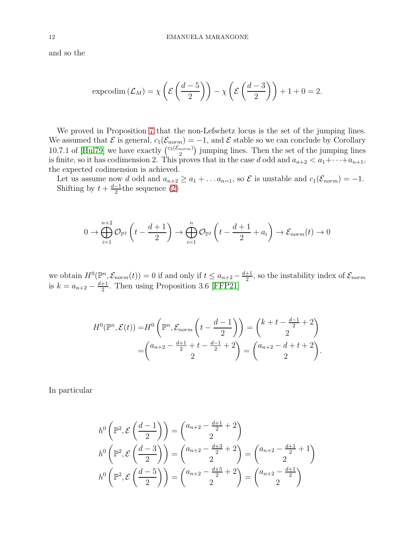and so the

$$
\operatorname{exproddim} (\mathcal{L}_M) = \chi \left( \mathcal{E} \left( \frac{d-5}{2} \right) \right) - \chi \left( \mathcal{E} \left( \frac{d-3}{2} \right) \right) + 1 + 0 = 2.
$$

We proved in Proposition [7](#page-3-6) that the non-Lefschetz locus is the set of the jumping lines. We assumed that  $\mathcal E$  is general,  $c_1(\mathcal{E}_{norm}) = -1$ , and  $\mathcal E$  stable so we can conclude by Corollary 10.7.1 of [\[Hul79\]](#page-16-11) we have exactly  $\binom{c_2(\mathcal{E}_{norm})}{2}$  $\binom{norm}{2}$  jumping lines. Then the set of the jumping lines is finite, so it has codimension 2. This proves that in the case d odd and  $a_{n+2} < a_1 + \cdots + a_{n+1}$ , the expected codimension is achieved.

Let us assume now d odd and  $a_{n+2} \ge a_1 + \ldots a_{n=1}$ , so  $\mathcal E$  is unstable and  $c_1(\mathcal E_{norm}) = -1$ . Shifting by  $t + \frac{d-1}{2}$  $\frac{-1}{2}$ the sequence [\(2\)](#page-1-1)

$$
0 \to \bigoplus_{i=1}^{n+2} \mathcal{O}_{\mathbb{P}^2}\left(t - \frac{d+1}{2}\right) \to \bigoplus_{i=1}^n \mathcal{O}_{\mathbb{P}^2}\left(t - \frac{d+1}{2} + a_i\right) \to \mathcal{E}_{norm}(t) \to 0
$$

we obtain  $H^0(\mathbb{P}^n, \mathcal{E}_{norm}(t)) = 0$  if and only if  $t \leq a_{n+2} - \frac{d+1}{2}$  $\frac{+1}{2}$ , so the instability index of  $\mathcal{E}_{norm}$ is  $k = a_{n+2} - \frac{d+1}{2}$  $\frac{+1}{2}$ . Then using Proposition 3.6 [\[FFP21\]](#page-16-4)

$$
H^{0}(\mathbb{P}^{n}, \mathcal{E}(t)) = H^{0}\left(\mathbb{P}^{n}, \mathcal{E}_{norm}\left(t - \frac{d-1}{2}\right)\right) = \begin{pmatrix} k + t - \frac{d-1}{2} + 2\\ 2 \end{pmatrix}
$$

$$
= \begin{pmatrix} a_{n+2} - \frac{d+1}{2} + t - \frac{d-1}{2} + 2\\ 2 \end{pmatrix} = \begin{pmatrix} a_{n+2} - d + t + 2\\ 2 \end{pmatrix}.
$$

In particular

$$
h^{0}\left(\mathbb{P}^{2}, \mathcal{E}\left(\frac{d-1}{2}\right)\right) = \binom{a_{n+2} - \frac{d+1}{2} + 2}{2}
$$
  
\n
$$
h^{0}\left(\mathbb{P}^{2}, \mathcal{E}\left(\frac{d-3}{2}\right)\right) = \binom{a_{n+2} - \frac{d+3}{2} + 2}{2} = \binom{a_{n+2} - \frac{d+1}{2} + 1}{2}
$$
  
\n
$$
h^{0}\left(\mathbb{P}^{2}, \mathcal{E}\left(\frac{d-5}{2}\right)\right) = \binom{a_{n+2} - \frac{d+5}{2} + 2}{2} = \binom{a_{n+2} - \frac{d+1}{2}}{2}
$$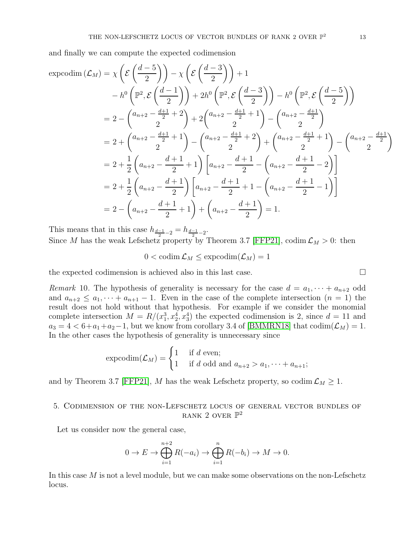and finally we can compute the expected codimension

$$
\begin{split}\n\text{expcodim}\left(\mathcal{L}_M\right) &= \chi \left(\mathcal{E}\left(\frac{d-5}{2}\right)\right) - \chi \left(\mathcal{E}\left(\frac{d-3}{2}\right)\right) + 1 \\
&\quad - h^0 \left(\mathbb{P}^2, \mathcal{E}\left(\frac{d-1}{2}\right)\right) + 2h^0 \left(\mathbb{P}^2, \mathcal{E}\left(\frac{d-3}{2}\right)\right) - h^0 \left(\mathbb{P}^2, \mathcal{E}\left(\frac{d-5}{2}\right)\right) \\
&= 2 - \left(\begin{matrix} a_{n+2} - \frac{d+1}{2} + 2 \\ 2 \end{matrix}\right) + 2 \left(\begin{matrix} a_{n+2} - \frac{d+1}{2} + 1 \\ 2 \end{matrix}\right) - \left(\begin{matrix} a_{n+2} - \frac{d+1}{2} \\ 2 \end{matrix}\right) \\
&= 2 + \left(\begin{matrix} a_{n+2} - \frac{d+1}{2} + 1 \\ 2 \end{matrix}\right) - \left(\begin{matrix} a_{n+2} - \frac{d+1}{2} + 2 \\ 2 \end{matrix}\right) + \left(\begin{matrix} a_{n+2} - \frac{d+1}{2} + 1 \\ 2 \end{matrix}\right) - \left(\begin{matrix} a_{n+2} - \frac{d+1}{2} \\ 2 \end{matrix}\right) \\
&= 2 + \frac{1}{2} \left(a_{n+2} - \frac{d+1}{2}\right) \left[a_{n+2} - \frac{d+1}{2} + 1 - \left(a_{n+2} - \frac{d+1}{2} - 1\right)\right] \\
&= 2 - \left(a_{n+2} - \frac{d+1}{2} + 1\right) + \left(a_{n+2} - \frac{d+1}{2}\right) = 1.\n\end{split}
$$

This means that in this case  $h_{\frac{d-1}{2}-2} = h_{\frac{d-1}{2}-2}$ . Since M has the weak Lefschetz property by Theorem 3.7 [\[FFP21\]](#page-16-4), codim  $\mathcal{L}_M > 0$ : then

 $0 < \text{codim}\,\mathcal{L}_M \leq \text{expcodim}(\mathcal{L}_M) = 1$ 

the expected codimension is achieved also in this last case.  $\Box$ 

Remark 10. The hypothesis of generality is necessary for the case  $d = a_1, \dots + a_{n+2}$  odd and  $a_{n+2} \le a_1, \dots + a_{n+1} - 1$ . Even in the case of the complete intersection  $(n = 1)$  the result does not hold without that hypothesis. For example if we consider the monomial complete intersection  $M = R/(x_1^3, x_2^4, x_3^4)$  the expected codimension is 2, since  $d = 11$  and  $a_3 = 4 < 6 + a_1 + a_2 - 1$ , but we know from corollary 3.4 of [\[BMMRN18\]](#page-16-5) that  $\text{codim}(\mathcal{L}_M) = 1$ . In the other cases the hypothesis of generality is unnecessary since

$$
\exp\left(c_{M}\right) = \begin{cases} 1 & \text{if } d \text{ even}; \\ 1 & \text{if } d \text{ odd and } a_{n+2} > a_{1}, \dots + a_{n+1}; \end{cases}
$$

and by Theorem 3.7 [\[FFP21\]](#page-16-4), M has the weak Lefschetz property, so codim  $\mathcal{L}_M \geq 1$ .

## 5. Codimension of the non-Lefschetz locus of general vector bundles of RANK 2 OVER  $\mathbb{P}^2$

Let us consider now the general case,

$$
0 \to E \to \bigoplus_{i=1}^{n+2} R(-a_i) \to \bigoplus_{i=1}^n R(-b_i) \to M \to 0.
$$

In this case  $M$  is not a level module, but we can make some observations on the non-Lefschetz locus.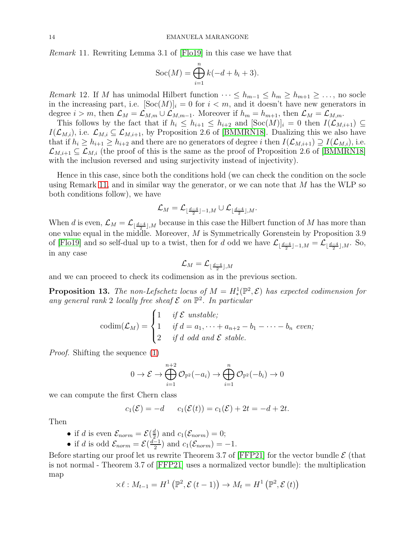<span id="page-13-0"></span>Remark 11. Rewriting Lemma 3.1 of [\[Flo19\]](#page-16-9) in this case we have that

$$
Soc(M) = \bigoplus_{i=1}^{n} k(-d+b_i+3).
$$

*Remark* 12. If M has unimodal Hilbert function  $\cdots \leq h_{m-1} \leq h_m \geq h_{m+1} \geq \ldots$ , no socle in the increasing part, i.e.  $[**Soc**(M)]<sub>i</sub> = 0$  for  $i < m$ , and it doesn't have new generators in degree  $i > m$ , then  $\mathcal{L}_M = \mathcal{L}_{M,m} \cup \mathcal{L}_{M,m-1}$ . Moreover if  $h_m = h_{m+1}$ , then  $\mathcal{L}_M = \mathcal{L}_{M,m}$ .

This follows by the fact that if  $h_i \leq h_{i+1} \leq h_{i+2}$  and  $[\text{Soc}(M)]_i = 0$  then  $I(\mathcal{L}_{M,i+1}) \subseteq$  $I(\mathcal{L}_{M,i}),$  i.e.  $\mathcal{L}_{M,i} \subseteq \mathcal{L}_{M,i+1}$ , by Proposition 2.6 of [\[BMMRN18\]](#page-16-5). Dualizing this we also have that if  $h_i \geq h_{i+1} \geq h_{i+2}$  and there are no generators of degree i then  $I(\mathcal{L}_{M,i+1}) \supseteq I(\mathcal{L}_{M,i})$ , i.e.  $\mathcal{L}_{M,i+1} \subseteq \mathcal{L}_{M,i}$  (the proof of this is the same as the proof of Proposition 2.6 of [\[BMMRN18\]](#page-16-5) with the inclusion reversed and using surjectivity instead of injectivity).

Hence in this case, since both the conditions hold (we can check the condition on the socle using Remark [11,](#page-13-0) and in similar way the generator, or we can note that  $M$  has the WLP so both conditions follow), we have

$$
\mathcal{L}_M=\mathcal{L}_{\lfloor\frac{d-4}{2}\rfloor-1,M}\cup\mathcal{L}_{\lfloor\frac{d-4}{2}\rfloor,M}.
$$

When d is even,  $\mathcal{L}_M = \mathcal{L}_{\lfloor \frac{d-4}{2} \rfloor,M}$  because in this case the Hilbert function of M has more than one value equal in the middle. Moreover,  $M$  is Symmetrically Gorenstein by Proposition 3.9 of [\[Flo19\]](#page-16-9) and so self-dual up to a twist, then for d odd we have  $\mathcal{L}_{\lfloor \frac{d-4}{2} \rfloor-1,M} = \mathcal{L}_{\lfloor \frac{d-4}{2} \rfloor,M}$ . So, in any case

$$
\mathcal{L}_M = \mathcal{L}_{\lfloor \frac{d-4}{2} \rfloor, M}
$$

and we can proceed to check its codimension as in the previous section.

**Proposition 13.** The non-Lefschetz locus of  $M = H^1_*(\mathbb{P}^2, \mathcal{E})$  has expected codimension for any general rank 2 locally free sheaf  $\mathcal E$  on  $\mathbb P^2$ . In particular

$$
\text{codim}(\mathcal{L}_M) = \begin{cases} 1 & \text{if } \mathcal{E} \text{ unstable;} \\ 1 & \text{if } d = a_1, \dots + a_{n+2} - b_1 - \dots - b_n \text{ even;} \\ 2 & \text{if } d \text{ odd and } \mathcal{E} \text{ stable.} \end{cases}
$$

Proof. Shifting the sequence [\(1\)](#page-1-0)

$$
0 \to \mathcal{E} \to \bigoplus_{i=1}^{n+2} \mathcal{O}_{\mathbb{P}^2}(-a_i) \to \bigoplus_{i=1}^n \mathcal{O}_{\mathbb{P}^2}(-b_i) \to 0
$$

we can compute the first Chern class

$$
c_1(\mathcal{E}) = -d \qquad c_1(\mathcal{E}(t)) = c_1(\mathcal{E}) + 2t = -d + 2t.
$$

Then

- if d is even  $\mathcal{E}_{norm} = \mathcal{E}(\frac{d}{2})$  $\frac{d}{2}$  and  $c_1(\mathcal{E}_{norm})=0;$
- if d is odd  $\mathcal{E}_{norm} = \mathcal{E}(\frac{d-1}{2})$  $\frac{-1}{2}$  and  $c_1(\mathcal{E}_{norm}) = -1$ .

Before starting our proof let us rewrite Theorem 3.7 of [\[FFP21\]](#page-16-4) for the vector bundle  $\mathcal E$  (that is not normal - Theorem 3.7 of [\[FFP21\]](#page-16-4) uses a normalized vector bundle): the multiplication map

$$
\times \ell : M_{t-1} = H^1 \left( \mathbb{P}^2, \mathcal{E} \left( t - 1 \right) \right) \to M_t = H^1 \left( \mathbb{P}^2, \mathcal{E} \left( t \right) \right)
$$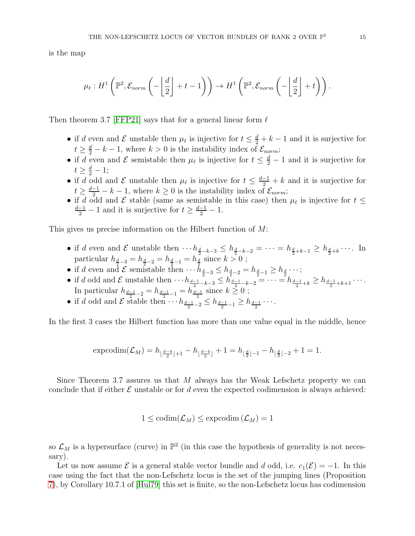is the map

$$
\mu_{\ell}: H^{1}\left(\mathbb{P}^{2}, \mathcal{E}_{norm}\left(-\left\lfloor\frac{d}{2}\right\rfloor+t-1\right)\right) \to H^{1}\left(\mathbb{P}^{2}, \mathcal{E}_{norm}\left(-\left\lfloor\frac{d}{2}\right\rfloor+t\right)\right).
$$

Then theorem 3.7 [\[FFP21\]](#page-16-4) says that for a general linear form  $\ell$ 

- if d even and  $\mathcal E$  unstable then  $\mu_\ell$  is injective for  $t \leq \frac{d}{2} + k 1$  and it is surjective for  $t \geq \frac{d}{2} - k - 1$ , where  $k > 0$  is the instability index of  $\mathcal{E}_{norm}$ ;
- if d even and  $\mathcal E$  semistable then  $\mu_\ell$  is injective for  $t \leq \frac{d}{2} 1$  and it is surjective for  $t \geq \frac{d}{2} - 1;$
- if d odd and  $\mathcal E$  unstable then  $\mu_\ell$  is injective for  $t \leq \frac{d-1}{2} + k$  and it is surjective for  $t \geq \frac{d-1}{2} - k - 1$ , where  $k \geq 0$  is the instability index of  $\mathcal{E}_{norm}$ ;
- if d odd and  $\mathcal E$  stable (same as semistable in this case) then  $\mu_{\ell}$  is injective for  $t \leq$  $\frac{d-1}{2} - 1$  and it is surjective for  $t \geq \frac{d-1}{2} - 1$ .

This gives us precise information on the Hilbert function of M:

- if d even and  $\mathcal E$  unstable then  $\cdots h_{\frac{d}{2}-k-3} \leq h_{\frac{d}{2}-k-2} = \cdots = h_{\frac{d}{2}+k-1} \geq h_{\frac{d}{2}+k} \cdots$ . In particular $h_{\frac{d}{2}-3} = h_{\frac{d}{2}-2} = h_{\frac{d}{2}-1} = h_{\frac{d}{2}}$  since  $k > 0$  ;
- if d even and  $\mathcal E$  semistable then  $\cdots h_{\frac{d}{2}-3} \leq h_{\frac{d}{2}-2} = h_{\frac{d}{2}-1} \geq h_{\frac{d}{2}} \cdots;$
- if d odd and E unstable then  $\cdots h_{\frac{d-1}{2}-k-3} \leq h_{\frac{d-1}{2}-k-2}^{\frac{1}{2}-2} = \cdots = h_{\frac{d-1}{2}+k} \geq h_{\frac{d-1}{2}+k+1} \cdots$ In particular  $h_{\frac{d-1}{2}-2} = h_{\frac{d-1}{2}-1} = h_{\frac{d-1}{2}}$  since  $k \ge 0$ ;
- if d odd and  $\mathcal E$  stable then  $\cdots h_{\frac{d-1}{2}-2} \leq h_{\frac{d-1}{2}-1} \geq h_{\frac{d-1}{2}} \cdots$ .

In the first 3 cases the Hilbert function has more than one value equal in the middle, hence

$$
\mathrm{expcodim}(\mathcal{L}_M)=h_{\lfloor \frac{d-4}{2} \rfloor+1}-h_{\lfloor \frac{d-4}{2} \rfloor}+1=h_{\lfloor \frac{d}{2} \rfloor-1}-h_{\lfloor \frac{d}{2} \rfloor-2}+1=1.
$$

Since Theorem 3.7 assures us that M always has the Weak Lefschetz property we can conclude that if either  $\mathcal E$  unstable or for d even the expected codimension is always achieved:

$$
1 \leq \mathrm{codim}(\mathcal{L}_M) \leq \mathrm{expcodim}(\mathcal{L}_M) = 1
$$

so  $\mathcal{L}_M$  is a hypersurface (curve) in  $\mathbb{P}^2$  (in this case the hypothesis of generality is not necessary).

Let us now assume  $\mathcal E$  is a general stable vector bundle and d odd, i.e.  $c_1(\mathcal E) = -1$ . In this case using the fact that the non-Lefschetz locus is the set of the jumping lines (Proposition [7\)](#page-3-6), by Corollary 10.7.1 of [\[Hul79\]](#page-16-11) this set is finite, so the non-Lefschetz locus has codimension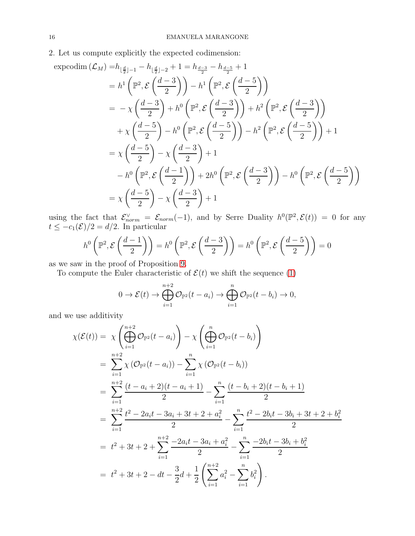# 2. Let us compute explicitly the expected codimension:

$$
\begin{split}\n\text{exprodim}\,(\mathcal{L}_M) &= h_{\lfloor \frac{d}{2} \rfloor - 1} - h_{\lfloor \frac{d}{2} \rfloor - 2} + 1 = h_{\frac{d-3}{2}} - h_{\frac{d-5}{2}} + 1 \\
&= h^1 \left( \mathbb{P}^2, \mathcal{E} \left( \frac{d-3}{2} \right) \right) - h^1 \left( \mathbb{P}^2, \mathcal{E} \left( \frac{d-5}{2} \right) \right) \\
&= -\chi \left( \frac{d-3}{2} \right) + h^0 \left( \mathbb{P}^2, \mathcal{E} \left( \frac{d-3}{2} \right) \right) + h^2 \left( \mathbb{P}^2, \mathcal{E} \left( \frac{d-3}{2} \right) \right) \\
&\quad + \chi \left( \frac{d-5}{2} \right) - h^0 \left( \mathbb{P}^2, \mathcal{E} \left( \frac{d-5}{2} \right) \right) - h^2 \left( \mathbb{P}^2, \mathcal{E} \left( \frac{d-5}{2} \right) \right) + 1 \\
&= \chi \left( \frac{d-5}{2} \right) - \chi \left( \frac{d-3}{2} \right) + 1 \\
&\quad - h^0 \left( \mathbb{P}^2, \mathcal{E} \left( \frac{d-1}{2} \right) \right) + 2h^0 \left( \mathbb{P}^2, \mathcal{E} \left( \frac{d-3}{2} \right) \right) - h^0 \left( \mathbb{P}^2, \mathcal{E} \left( \frac{d-5}{2} \right) \right) \\
&= \chi \left( \frac{d-5}{2} \right) - \chi \left( \frac{d-3}{2} \right) + 1\n\end{split}
$$

using the fact that  $\mathcal{E}_{norm}^{\vee} = \mathcal{E}_{norm}(-1)$ , and by Serre Duality  $h^0(\mathbb{P}^2, \mathcal{E}(t)) = 0$  for any  $t \leq -c_1(\mathcal{E})/2 = d/2$ . In particular

$$
h^{0}\left(\mathbb{P}^{2}, \mathcal{E}\left(\frac{d-1}{2}\right)\right) = h^{0}\left(\mathbb{P}^{2}, \mathcal{E}\left(\frac{d-3}{2}\right)\right) = h^{0}\left(\mathbb{P}^{2}, \mathcal{E}\left(\frac{d-5}{2}\right)\right) = 0
$$

as we saw in the proof of Proposition [9.](#page-8-1)

To compute the Euler characteristic of  $\mathcal{E}(t)$  we shift the sequence [\(1\)](#page-1-0)

$$
0 \to \mathcal{E}(t) \to \bigoplus_{i=1}^{n+2} \mathcal{O}_{\mathbb{P}^2}(t-a_i) \to \bigoplus_{i=1}^n \mathcal{O}_{\mathbb{P}^2}(t-b_i) \to 0,
$$

and we use additivity

$$
\chi(\mathcal{E}(t)) = \chi\left(\bigoplus_{i=1}^{n+2} \mathcal{O}_{\mathbb{P}^2}(t-a_i)\right) - \chi\left(\bigoplus_{i=1}^{n} \mathcal{O}_{\mathbb{P}^2}(t-b_i)\right)
$$
  
\n
$$
= \sum_{i=1}^{n+2} \chi\left(\mathcal{O}_{\mathbb{P}^2}(t-a_i)\right) - \sum_{i=1}^{n} \chi\left(\mathcal{O}_{\mathbb{P}^2}(t-b_i)\right)
$$
  
\n
$$
= \sum_{i=1}^{n+2} \frac{(t-a_i+2)(t-a_i+1)}{2} - \sum_{i=1}^{n} \frac{(t-b_i+2)(t-b_i+1)}{2}
$$
  
\n
$$
= \sum_{i=1}^{n+2} \frac{t^2 - 2a_i t - 3a_i + 3t + 2 + a_i^2}{2} - \sum_{i=1}^{n} \frac{t^2 - 2b_i t - 3b_i + 3t + 2 + b_i^2}{2}
$$
  
\n
$$
= t^2 + 3t + 2 + \sum_{i=1}^{n+2} \frac{-2a_i t - 3a_i + a_i^2}{2} - \sum_{i=1}^{n} \frac{-2b_i t - 3b_i + b_i^2}{2}
$$
  
\n
$$
= t^2 + 3t + 2 - dt - \frac{3}{2}d + \frac{1}{2}\left(\sum_{i=1}^{n+2} a_i^2 - \sum_{i=1}^{n} b_i^2\right).
$$